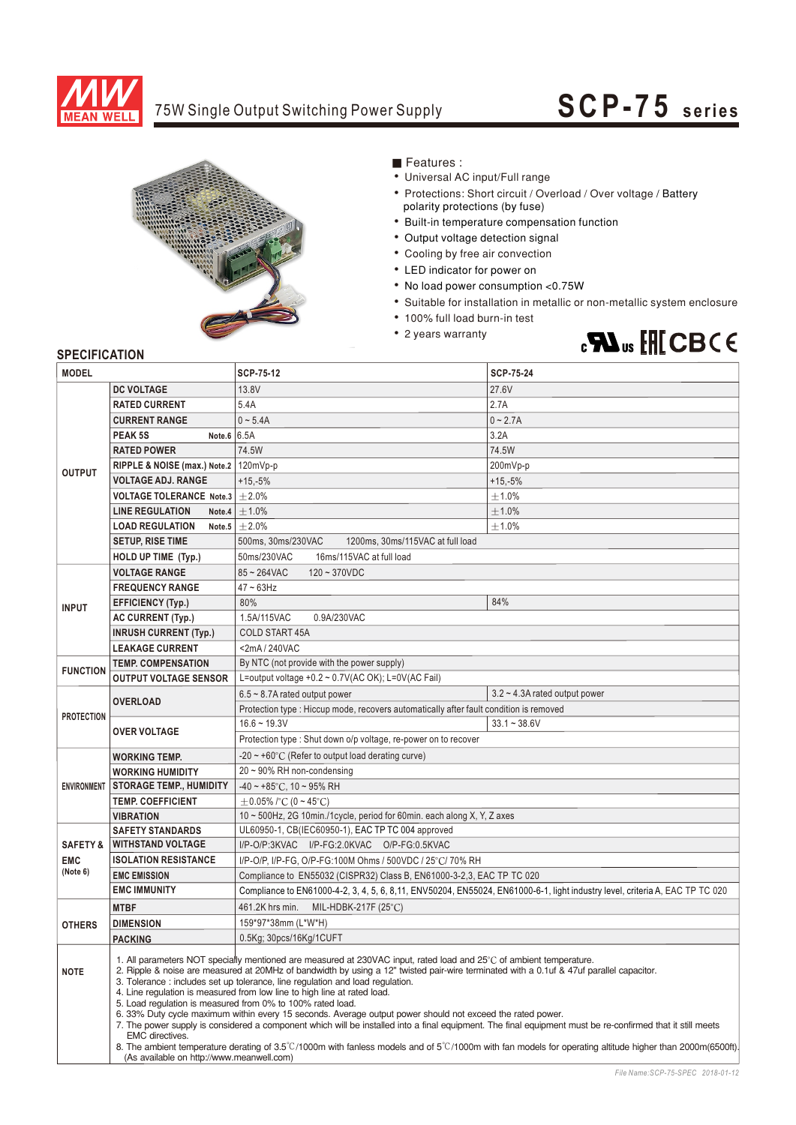

## 75W Single Output Switching Power Supply

# **SCP-75 seri es**



■ Features :

- Universal AC input/Full range
- Protections: Short circuit / Overload / Over voltage / Battery polarity protections (by fuse)
- Built-in temperature compensation function
- Output voltage detection signal
- Cooling by free air convection
- LED indicator for power on
- No load power consumption <0.75W
- Suitable for installation in metallic or non-metallic system enclosure
- 100% full load burn-in test
- 2 years warranty



### **SPECIFICATION**

| <b>MODEL</b>              |                                                                                                                                                                                                                                                                                                                                                                                                                                                                                                                                                                                                                                                                                                                                                                                                                                                                                                                                                                                                     | SCP-75-12                                                                                                                     | <b>SCP-75-24</b>                    |  |  |
|---------------------------|-----------------------------------------------------------------------------------------------------------------------------------------------------------------------------------------------------------------------------------------------------------------------------------------------------------------------------------------------------------------------------------------------------------------------------------------------------------------------------------------------------------------------------------------------------------------------------------------------------------------------------------------------------------------------------------------------------------------------------------------------------------------------------------------------------------------------------------------------------------------------------------------------------------------------------------------------------------------------------------------------------|-------------------------------------------------------------------------------------------------------------------------------|-------------------------------------|--|--|
|                           | <b>DC VOLTAGE</b>                                                                                                                                                                                                                                                                                                                                                                                                                                                                                                                                                                                                                                                                                                                                                                                                                                                                                                                                                                                   | 13.8V                                                                                                                         | 27.6V                               |  |  |
|                           | <b>RATED CURRENT</b>                                                                                                                                                                                                                                                                                                                                                                                                                                                                                                                                                                                                                                                                                                                                                                                                                                                                                                                                                                                | 5.4A<br>2.7A                                                                                                                  |                                     |  |  |
|                           | <b>CURRENT RANGE</b>                                                                                                                                                                                                                                                                                                                                                                                                                                                                                                                                                                                                                                                                                                                                                                                                                                                                                                                                                                                | $0 - 5.4A$                                                                                                                    | $0 - 2.7A$                          |  |  |
|                           | Note.6 6.5A<br>PEAK <sub>5S</sub>                                                                                                                                                                                                                                                                                                                                                                                                                                                                                                                                                                                                                                                                                                                                                                                                                                                                                                                                                                   |                                                                                                                               | 3.2A                                |  |  |
|                           | <b>RATED POWER</b>                                                                                                                                                                                                                                                                                                                                                                                                                                                                                                                                                                                                                                                                                                                                                                                                                                                                                                                                                                                  | 74.5W                                                                                                                         | 74.5W                               |  |  |
|                           | RIPPLE & NOISE (max.) Note.2   120mVp-p                                                                                                                                                                                                                                                                                                                                                                                                                                                                                                                                                                                                                                                                                                                                                                                                                                                                                                                                                             | 200mVp-p                                                                                                                      |                                     |  |  |
| <b>OUTPUT</b>             | <b>VOLTAGE ADJ. RANGE</b>                                                                                                                                                                                                                                                                                                                                                                                                                                                                                                                                                                                                                                                                                                                                                                                                                                                                                                                                                                           | $+15,-5%$                                                                                                                     | $+15,-5%$                           |  |  |
|                           | <b>VOLTAGE TOLERANCE Note.3</b>                                                                                                                                                                                                                                                                                                                                                                                                                                                                                                                                                                                                                                                                                                                                                                                                                                                                                                                                                                     | $\pm 2.0\%$                                                                                                                   | $\pm 1.0\%$                         |  |  |
|                           | <b>LINE REGULATION</b><br>Note.4                                                                                                                                                                                                                                                                                                                                                                                                                                                                                                                                                                                                                                                                                                                                                                                                                                                                                                                                                                    | ±1.0%                                                                                                                         | ±1.0%                               |  |  |
|                           | <b>LOAD REGULATION</b>                                                                                                                                                                                                                                                                                                                                                                                                                                                                                                                                                                                                                                                                                                                                                                                                                                                                                                                                                                              | Note.5 $\pm 2.0\%$                                                                                                            | ±1.0%                               |  |  |
|                           | <b>SETUP, RISE TIME</b>                                                                                                                                                                                                                                                                                                                                                                                                                                                                                                                                                                                                                                                                                                                                                                                                                                                                                                                                                                             | 500ms, 30ms/230VAC<br>1200ms, 30ms/115VAC at full load                                                                        |                                     |  |  |
|                           | HOLD UP TIME (Typ.)                                                                                                                                                                                                                                                                                                                                                                                                                                                                                                                                                                                                                                                                                                                                                                                                                                                                                                                                                                                 | 50ms/230VAC<br>16ms/115VAC at full load                                                                                       |                                     |  |  |
|                           | <b>VOLTAGE RANGE</b>                                                                                                                                                                                                                                                                                                                                                                                                                                                                                                                                                                                                                                                                                                                                                                                                                                                                                                                                                                                | $85 - 264$ VAC<br>$120 - 370VDC$                                                                                              |                                     |  |  |
|                           | <b>FREQUENCY RANGE</b>                                                                                                                                                                                                                                                                                                                                                                                                                                                                                                                                                                                                                                                                                                                                                                                                                                                                                                                                                                              | $47 \sim 63$ Hz                                                                                                               |                                     |  |  |
| <b>INPUT</b>              | <b>EFFICIENCY (Typ.)</b>                                                                                                                                                                                                                                                                                                                                                                                                                                                                                                                                                                                                                                                                                                                                                                                                                                                                                                                                                                            | 80%                                                                                                                           | 84%                                 |  |  |
|                           | <b>AC CURRENT (Typ.)</b>                                                                                                                                                                                                                                                                                                                                                                                                                                                                                                                                                                                                                                                                                                                                                                                                                                                                                                                                                                            | 1.5A/115VAC<br>0.9A/230VAC                                                                                                    |                                     |  |  |
|                           | <b>INRUSH CURRENT (Typ.)</b>                                                                                                                                                                                                                                                                                                                                                                                                                                                                                                                                                                                                                                                                                                                                                                                                                                                                                                                                                                        | <b>COLD START 45A</b>                                                                                                         |                                     |  |  |
|                           | <b>LEAKAGE CURRENT</b>                                                                                                                                                                                                                                                                                                                                                                                                                                                                                                                                                                                                                                                                                                                                                                                                                                                                                                                                                                              | <2mA/240VAC                                                                                                                   |                                     |  |  |
| <b>TEMP. COMPENSATION</b> |                                                                                                                                                                                                                                                                                                                                                                                                                                                                                                                                                                                                                                                                                                                                                                                                                                                                                                                                                                                                     | By NTC (not provide with the power supply)                                                                                    |                                     |  |  |
| <b>FUNCTION</b>           | <b>OUTPUT VOLTAGE SENSOR</b>                                                                                                                                                                                                                                                                                                                                                                                                                                                                                                                                                                                                                                                                                                                                                                                                                                                                                                                                                                        | L=output voltage +0.2 ~ 0.7V(AC OK); L=0V(AC Fail)                                                                            |                                     |  |  |
|                           | <b>OVERLOAD</b>                                                                                                                                                                                                                                                                                                                                                                                                                                                                                                                                                                                                                                                                                                                                                                                                                                                                                                                                                                                     | $6.5 \sim 8.7$ A rated output power                                                                                           | $3.2 \sim 4.3$ A rated output power |  |  |
| <b>PROTECTION</b>         |                                                                                                                                                                                                                                                                                                                                                                                                                                                                                                                                                                                                                                                                                                                                                                                                                                                                                                                                                                                                     | Protection type : Hiccup mode, recovers automatically after fault condition is removed                                        |                                     |  |  |
|                           | <b>OVER VOLTAGE</b>                                                                                                                                                                                                                                                                                                                                                                                                                                                                                                                                                                                                                                                                                                                                                                                                                                                                                                                                                                                 | $16.6 - 19.3V$                                                                                                                | $33.1 - 38.6V$                      |  |  |
|                           |                                                                                                                                                                                                                                                                                                                                                                                                                                                                                                                                                                                                                                                                                                                                                                                                                                                                                                                                                                                                     | Protection type : Shut down o/p voltage, re-power on to recover                                                               |                                     |  |  |
|                           | <b>WORKING TEMP.</b>                                                                                                                                                                                                                                                                                                                                                                                                                                                                                                                                                                                                                                                                                                                                                                                                                                                                                                                                                                                | -20 $\sim$ +60 $^{\circ}$ C (Refer to output load derating curve)                                                             |                                     |  |  |
|                           | <b>WORKING HUMIDITY</b>                                                                                                                                                                                                                                                                                                                                                                                                                                                                                                                                                                                                                                                                                                                                                                                                                                                                                                                                                                             | 20~90% RH non-condensing                                                                                                      |                                     |  |  |
| <b>ENVIRONMENT</b>        | <b>STORAGE TEMP., HUMIDITY</b>                                                                                                                                                                                                                                                                                                                                                                                                                                                                                                                                                                                                                                                                                                                                                                                                                                                                                                                                                                      | $-40 \sim +85$ °C, 10 ~ 95% RH                                                                                                |                                     |  |  |
|                           | <b>TEMP. COEFFICIENT</b>                                                                                                                                                                                                                                                                                                                                                                                                                                                                                                                                                                                                                                                                                                                                                                                                                                                                                                                                                                            | $\pm$ 0.05% /°C (0 ~ 45°C)                                                                                                    |                                     |  |  |
|                           | <b>VIBRATION</b>                                                                                                                                                                                                                                                                                                                                                                                                                                                                                                                                                                                                                                                                                                                                                                                                                                                                                                                                                                                    | 10 ~ 500Hz, 2G 10min./1cycle, period for 60min. each along X, Y, Z axes                                                       |                                     |  |  |
|                           | <b>SAFETY STANDARDS</b>                                                                                                                                                                                                                                                                                                                                                                                                                                                                                                                                                                                                                                                                                                                                                                                                                                                                                                                                                                             | UL60950-1, CB(IEC60950-1), EAC TP TC 004 approved                                                                             |                                     |  |  |
| <b>SAFETY &amp;</b>       | <b>WITHSTAND VOLTAGE</b>                                                                                                                                                                                                                                                                                                                                                                                                                                                                                                                                                                                                                                                                                                                                                                                                                                                                                                                                                                            | I/P-O/P:3KVAC I/P-FG:2.0KVAC O/P-FG:0.5KVAC                                                                                   |                                     |  |  |
| <b>EMC</b><br>(Note 6)    | <b>ISOLATION RESISTANCE</b>                                                                                                                                                                                                                                                                                                                                                                                                                                                                                                                                                                                                                                                                                                                                                                                                                                                                                                                                                                         | I/P-O/P, I/P-FG, O/P-FG:100M Ohms / 500VDC / 25°C/ 70% RH                                                                     |                                     |  |  |
|                           | <b>EMC EMISSION</b>                                                                                                                                                                                                                                                                                                                                                                                                                                                                                                                                                                                                                                                                                                                                                                                                                                                                                                                                                                                 | Compliance to EN55032 (CISPR32) Class B, EN61000-3-2,3, EAC TP TC 020                                                         |                                     |  |  |
|                           | <b>EMC IMMUNITY</b>                                                                                                                                                                                                                                                                                                                                                                                                                                                                                                                                                                                                                                                                                                                                                                                                                                                                                                                                                                                 | Compliance to EN61000-4-2, 3, 4, 5, 6, 8, 11, ENV50204, EN55024, EN61000-6-1, light industry level, criteria A, EAC TP TC 020 |                                     |  |  |
|                           | <b>MTBF</b>                                                                                                                                                                                                                                                                                                                                                                                                                                                                                                                                                                                                                                                                                                                                                                                                                                                                                                                                                                                         | 461.2K hrs min.<br>MIL-HDBK-217F (25 $^{\circ}$ C)                                                                            |                                     |  |  |
| <b>OTHERS</b>             | <b>DIMENSION</b>                                                                                                                                                                                                                                                                                                                                                                                                                                                                                                                                                                                                                                                                                                                                                                                                                                                                                                                                                                                    | 159*97*38mm (L*W*H)                                                                                                           |                                     |  |  |
|                           | <b>PACKING</b>                                                                                                                                                                                                                                                                                                                                                                                                                                                                                                                                                                                                                                                                                                                                                                                                                                                                                                                                                                                      | 0.5Kg; 30pcs/16Kg/1CUFT                                                                                                       |                                     |  |  |
| <b>NOTE</b>               | 1. All parameters NOT specially mentioned are measured at 230VAC input, rated load and 25°C of ambient temperature.<br>2. Ripple & noise are measured at 20MHz of bandwidth by using a 12" twisted pair-wire terminated with a 0.1uf & 47uf parallel capacitor.<br>3. Tolerance: includes set up tolerance, line regulation and load regulation.<br>4. Line regulation is measured from low line to high line at rated load.<br>5. Load regulation is measured from 0% to 100% rated load.<br>6. 33% Duty cycle maximum within every 15 seconds. Average output power should not exceed the rated power.<br>7. The power supply is considered a component which will be installed into a final equipment. The final equipment must be re-confirmed that it still meets<br>EMC directives.<br>8. The ambient temperature derating of 3.5°C/1000m with fanless models and of 5°C/1000m with fan models for operating altitude higher than 2000m(6500ft).<br>(As available on http://www.meanwell.com) |                                                                                                                               |                                     |  |  |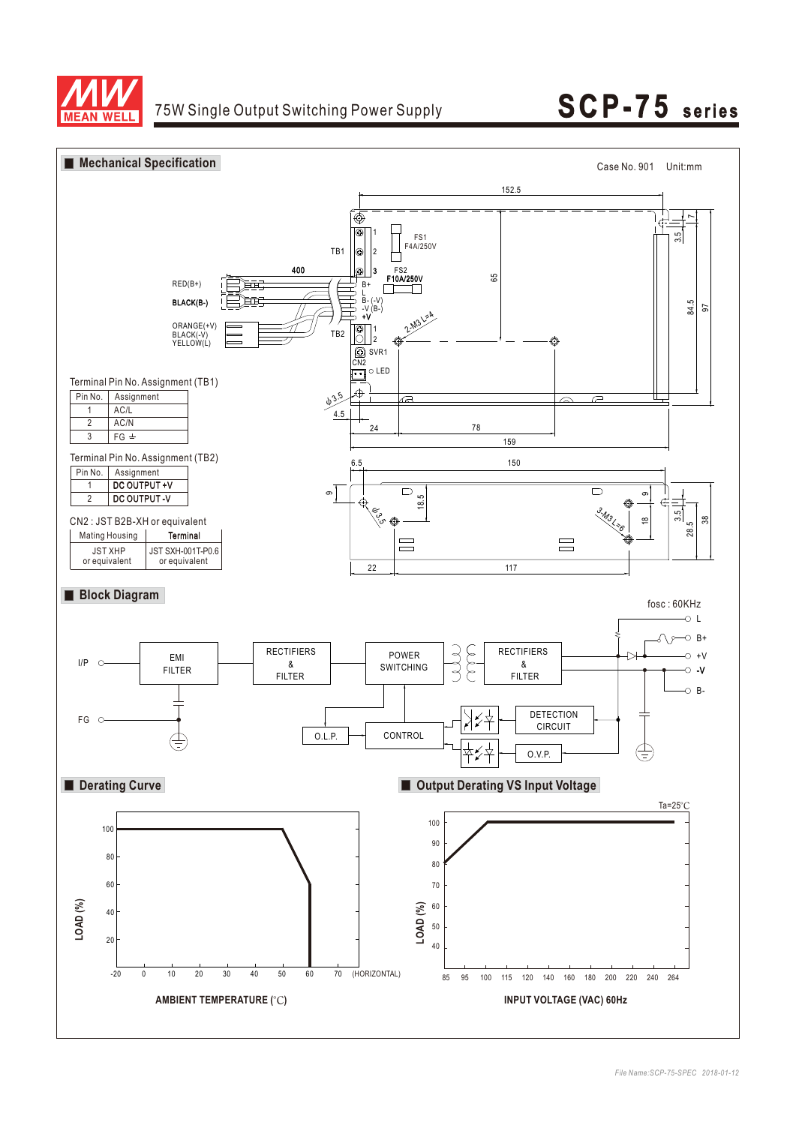